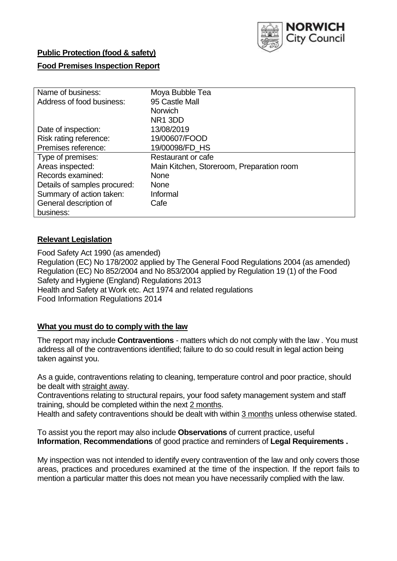

# **Public Protection (food & safety)**

### **Food Premises Inspection Report**

| Name of business:            | Moya Bubble Tea                           |
|------------------------------|-------------------------------------------|
| Address of food business:    | 95 Castle Mall                            |
|                              | <b>Norwich</b>                            |
|                              | NR <sub>1</sub> 3DD                       |
| Date of inspection:          | 13/08/2019                                |
| Risk rating reference:       | 19/00607/FOOD                             |
| Premises reference:          | 19/00098/FD_HS                            |
| Type of premises:            | Restaurant or cafe                        |
| Areas inspected:             | Main Kitchen, Storeroom, Preparation room |
| Records examined:            | <b>None</b>                               |
| Details of samples procured: | <b>None</b>                               |
| Summary of action taken:     | Informal                                  |
| General description of       | Cafe                                      |
| business:                    |                                           |

### **Relevant Legislation**

Food Safety Act 1990 (as amended) Regulation (EC) No 178/2002 applied by The General Food Regulations 2004 (as amended) Regulation (EC) No 852/2004 and No 853/2004 applied by Regulation 19 (1) of the Food Safety and Hygiene (England) Regulations 2013 Health and Safety at Work etc. Act 1974 and related regulations Food Information Regulations 2014

# **What you must do to comply with the law**

The report may include **Contraventions** - matters which do not comply with the law . You must address all of the contraventions identified; failure to do so could result in legal action being taken against you.

As a guide, contraventions relating to cleaning, temperature control and poor practice, should be dealt with straight away.

Contraventions relating to structural repairs, your food safety management system and staff training, should be completed within the next 2 months.

Health and safety contraventions should be dealt with within 3 months unless otherwise stated.

To assist you the report may also include **Observations** of current practice, useful **Information**, **Recommendations** of good practice and reminders of **Legal Requirements .**

My inspection was not intended to identify every contravention of the law and only covers those areas, practices and procedures examined at the time of the inspection. If the report fails to mention a particular matter this does not mean you have necessarily complied with the law.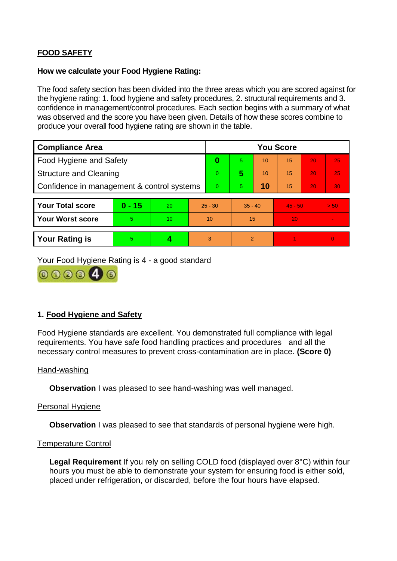# **FOOD SAFETY**

#### **How we calculate your Food Hygiene Rating:**

The food safety section has been divided into the three areas which you are scored against for the hygiene rating: 1. food hygiene and safety procedures, 2. structural requirements and 3. confidence in management/control procedures. Each section begins with a summary of what was observed and the score you have been given. Details of how these scores combine to produce your overall food hygiene rating are shown in the table.

| <b>Compliance Area</b>                     |          |    |           | <b>You Score</b> |                |    |           |    |                |  |  |
|--------------------------------------------|----------|----|-----------|------------------|----------------|----|-----------|----|----------------|--|--|
| Food Hygiene and Safety                    |          |    |           | 0                | $\overline{5}$ | 10 | 15        | 20 | 25             |  |  |
| <b>Structure and Cleaning</b>              |          |    |           | $\overline{0}$   | 5              | 10 | 15        | 20 | 25             |  |  |
| Confidence in management & control systems |          |    | $\Omega$  | $\overline{5}$   | 10             | 15 | 20        | 30 |                |  |  |
|                                            |          |    |           |                  |                |    |           |    |                |  |  |
| <b>Your Total score</b>                    | $0 - 15$ | 20 | $25 - 30$ |                  | $35 - 40$      |    | $45 - 50$ |    | > 50           |  |  |
| <b>Your Worst score</b>                    | 5        | 10 | 10        |                  | 15             |    | 20        |    | $\blacksquare$ |  |  |
|                                            |          |    |           |                  |                |    |           |    |                |  |  |
| <b>Your Rating is</b>                      | 5        |    |           | 3                | $\overline{2}$ |    |           |    | $\Omega$       |  |  |

Your Food Hygiene Rating is 4 - a good standard



# **1. Food Hygiene and Safety**

Food Hygiene standards are excellent. You demonstrated full compliance with legal requirements. You have safe food handling practices and procedures and all the necessary control measures to prevent cross-contamination are in place. **(Score 0)**

#### Hand-washing

**Observation** I was pleased to see hand-washing was well managed.

### Personal Hygiene

**Observation** I was pleased to see that standards of personal hygiene were high.

#### Temperature Control

**Legal Requirement** If you rely on selling COLD food (displayed over 8°C) within four hours you must be able to demonstrate your system for ensuring food is either sold, placed under refrigeration, or discarded, before the four hours have elapsed.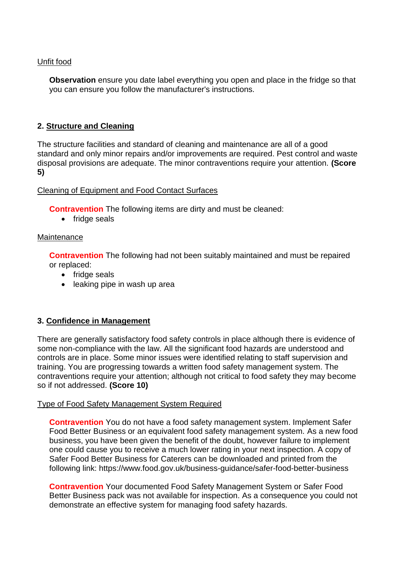### Unfit food

**Observation** ensure you date label everything you open and place in the fridge so that you can ensure you follow the manufacturer's instructions.

## **2. Structure and Cleaning**

The structure facilities and standard of cleaning and maintenance are all of a good standard and only minor repairs and/or improvements are required. Pest control and waste disposal provisions are adequate. The minor contraventions require your attention. **(Score 5)**

### Cleaning of Equipment and Food Contact Surfaces

**Contravention** The following items are dirty and must be cleaned:

• fridge seals

### **Maintenance**

**Contravention** The following had not been suitably maintained and must be repaired or replaced:

- fridge seals
- leaking pipe in wash up area

# **3. Confidence in Management**

There are generally satisfactory food safety controls in place although there is evidence of some non-compliance with the law. All the significant food hazards are understood and controls are in place. Some minor issues were identified relating to staff supervision and training. You are progressing towards a written food safety management system. The contraventions require your attention; although not critical to food safety they may become so if not addressed. **(Score 10)**

### Type of Food Safety Management System Required

**Contravention** You do not have a food safety management system. Implement Safer Food Better Business or an equivalent food safety management system. As a new food business, you have been given the benefit of the doubt, however failure to implement one could cause you to receive a much lower rating in your next inspection. A copy of Safer Food Better Business for Caterers can be downloaded and printed from the following link: https://www.food.gov.uk/business-guidance/safer-food-better-business

**Contravention** Your documented Food Safety Management System or Safer Food Better Business pack was not available for inspection. As a consequence you could not demonstrate an effective system for managing food safety hazards.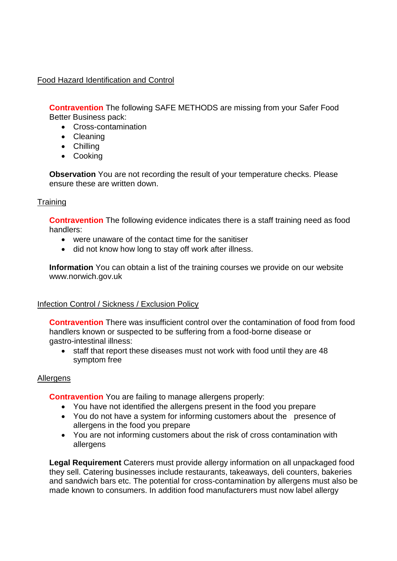# Food Hazard Identification and Control

**Contravention** The following SAFE METHODS are missing from your Safer Food Better Business pack:

- Cross-contamination
- Cleaning
- Chilling
- Cooking

**Observation** You are not recording the result of your temperature checks. Please ensure these are written down.

## **Training**

**Contravention** The following evidence indicates there is a staff training need as food handlers:

- were unaware of the contact time for the sanitiser
- did not know how long to stay off work after illness.

**Information** You can obtain a list of the training courses we provide on our website www.norwich.gov.uk

### Infection Control / Sickness / Exclusion Policy

**Contravention** There was insufficient control over the contamination of food from food handlers known or suspected to be suffering from a food-borne disease or gastro-intestinal illness:

• staff that report these diseases must not work with food until they are 48 symptom free

### Allergens

**Contravention** You are failing to manage allergens properly:

- You have not identified the allergens present in the food you prepare
- You do not have a system for informing customers about the presence of allergens in the food you prepare
- You are not informing customers about the risk of cross contamination with allergens

**Legal Requirement** Caterers must provide allergy information on all unpackaged food they sell. Catering businesses include restaurants, takeaways, deli counters, bakeries and sandwich bars etc. The potential for cross-contamination by allergens must also be made known to consumers. In addition food manufacturers must now label allergy